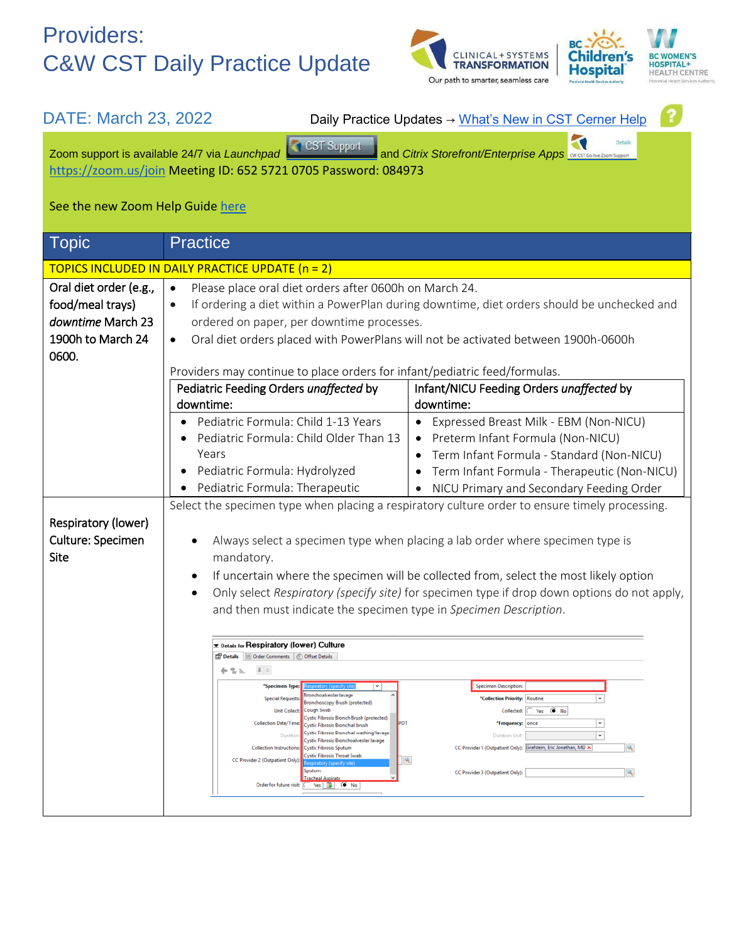## Providers: C&W CST Daily Practice Update





| DATE: March 23, 2022                                                                                                                                                                                          |                                                                                                                                                                                                                                                                                                                                                                                                                                                                                                                                                                                                                                                                                                                                                                                     | Daily Practice Updates → What's New in CST Cerner Help                                                                                                                                                                                                                 |  |
|---------------------------------------------------------------------------------------------------------------------------------------------------------------------------------------------------------------|-------------------------------------------------------------------------------------------------------------------------------------------------------------------------------------------------------------------------------------------------------------------------------------------------------------------------------------------------------------------------------------------------------------------------------------------------------------------------------------------------------------------------------------------------------------------------------------------------------------------------------------------------------------------------------------------------------------------------------------------------------------------------------------|------------------------------------------------------------------------------------------------------------------------------------------------------------------------------------------------------------------------------------------------------------------------|--|
| <b>Details</b><br>Zoom support is available 24/7 via Launchpad<br>and Citrix Storefront/Enterprise Apps <b>CW CST Go-live Zoom Support</b><br>https://zoom.us/join Meeting ID: 652 5721 0705 Password: 084973 |                                                                                                                                                                                                                                                                                                                                                                                                                                                                                                                                                                                                                                                                                                                                                                                     |                                                                                                                                                                                                                                                                        |  |
| See the new Zoom Help Guide here                                                                                                                                                                              |                                                                                                                                                                                                                                                                                                                                                                                                                                                                                                                                                                                                                                                                                                                                                                                     |                                                                                                                                                                                                                                                                        |  |
| <b>Topic</b>                                                                                                                                                                                                  | <b>Practice</b>                                                                                                                                                                                                                                                                                                                                                                                                                                                                                                                                                                                                                                                                                                                                                                     |                                                                                                                                                                                                                                                                        |  |
| TOPICS INCLUDED IN DAILY PRACTICE UPDATE (n = 2)                                                                                                                                                              |                                                                                                                                                                                                                                                                                                                                                                                                                                                                                                                                                                                                                                                                                                                                                                                     |                                                                                                                                                                                                                                                                        |  |
| Oral diet order (e.g.,                                                                                                                                                                                        | Please place oral diet orders after 0600h on March 24.<br>$\bullet$                                                                                                                                                                                                                                                                                                                                                                                                                                                                                                                                                                                                                                                                                                                 |                                                                                                                                                                                                                                                                        |  |
| food/meal trays)                                                                                                                                                                                              | If ordering a diet within a PowerPlan during downtime, diet orders should be unchecked and<br>$\bullet$                                                                                                                                                                                                                                                                                                                                                                                                                                                                                                                                                                                                                                                                             |                                                                                                                                                                                                                                                                        |  |
| downtime March 23                                                                                                                                                                                             | ordered on paper, per downtime processes.                                                                                                                                                                                                                                                                                                                                                                                                                                                                                                                                                                                                                                                                                                                                           |                                                                                                                                                                                                                                                                        |  |
| 1900h to March 24<br>0600.                                                                                                                                                                                    | Oral diet orders placed with PowerPlans will not be activated between 1900h-0600h<br>$\bullet$                                                                                                                                                                                                                                                                                                                                                                                                                                                                                                                                                                                                                                                                                      |                                                                                                                                                                                                                                                                        |  |
|                                                                                                                                                                                                               | Providers may continue to place orders for infant/pediatric feed/formulas.                                                                                                                                                                                                                                                                                                                                                                                                                                                                                                                                                                                                                                                                                                          |                                                                                                                                                                                                                                                                        |  |
|                                                                                                                                                                                                               | Pediatric Feeding Orders unaffected by                                                                                                                                                                                                                                                                                                                                                                                                                                                                                                                                                                                                                                                                                                                                              | Infant/NICU Feeding Orders unaffected by                                                                                                                                                                                                                               |  |
|                                                                                                                                                                                                               | downtime:                                                                                                                                                                                                                                                                                                                                                                                                                                                                                                                                                                                                                                                                                                                                                                           | downtime:                                                                                                                                                                                                                                                              |  |
|                                                                                                                                                                                                               | Pediatric Formula: Child 1-13 Years                                                                                                                                                                                                                                                                                                                                                                                                                                                                                                                                                                                                                                                                                                                                                 | • Expressed Breast Milk - EBM (Non-NICU)                                                                                                                                                                                                                               |  |
|                                                                                                                                                                                                               | Pediatric Formula: Child Older Than 13                                                                                                                                                                                                                                                                                                                                                                                                                                                                                                                                                                                                                                                                                                                                              | • Preterm Infant Formula (Non-NICU)                                                                                                                                                                                                                                    |  |
|                                                                                                                                                                                                               | Years                                                                                                                                                                                                                                                                                                                                                                                                                                                                                                                                                                                                                                                                                                                                                                               | Term Infant Formula - Standard (Non-NICU)                                                                                                                                                                                                                              |  |
|                                                                                                                                                                                                               | Pediatric Formula: Hydrolyzed                                                                                                                                                                                                                                                                                                                                                                                                                                                                                                                                                                                                                                                                                                                                                       | Term Infant Formula - Therapeutic (Non-NICU)                                                                                                                                                                                                                           |  |
|                                                                                                                                                                                                               | Pediatric Formula: Therapeutic                                                                                                                                                                                                                                                                                                                                                                                                                                                                                                                                                                                                                                                                                                                                                      | • NICU Primary and Secondary Feeding Order                                                                                                                                                                                                                             |  |
|                                                                                                                                                                                                               | Select the specimen type when placing a respiratory culture order to ensure timely processing.                                                                                                                                                                                                                                                                                                                                                                                                                                                                                                                                                                                                                                                                                      |                                                                                                                                                                                                                                                                        |  |
| Respiratory (lower)                                                                                                                                                                                           |                                                                                                                                                                                                                                                                                                                                                                                                                                                                                                                                                                                                                                                                                                                                                                                     |                                                                                                                                                                                                                                                                        |  |
| Culture: Specimen<br>Site                                                                                                                                                                                     | Always select a specimen type when placing a lab order where specimen type is<br>٠                                                                                                                                                                                                                                                                                                                                                                                                                                                                                                                                                                                                                                                                                                  |                                                                                                                                                                                                                                                                        |  |
|                                                                                                                                                                                                               | mandatory.                                                                                                                                                                                                                                                                                                                                                                                                                                                                                                                                                                                                                                                                                                                                                                          |                                                                                                                                                                                                                                                                        |  |
|                                                                                                                                                                                                               | If uncertain where the specimen will be collected from, select the most likely option<br>$\bullet$                                                                                                                                                                                                                                                                                                                                                                                                                                                                                                                                                                                                                                                                                  |                                                                                                                                                                                                                                                                        |  |
|                                                                                                                                                                                                               | Only select Respiratory (specify site) for specimen type if drop down options do not apply,<br>$\bullet$<br>and then must indicate the specimen type in Specimen Description.                                                                                                                                                                                                                                                                                                                                                                                                                                                                                                                                                                                                       |                                                                                                                                                                                                                                                                        |  |
|                                                                                                                                                                                                               |                                                                                                                                                                                                                                                                                                                                                                                                                                                                                                                                                                                                                                                                                                                                                                                     |                                                                                                                                                                                                                                                                        |  |
|                                                                                                                                                                                                               | <b>E</b> Details for Respiratory (lower) Culture<br>Details III Order Comments   C Offset Details<br>中舌に<br>$\parallel x \parallel$<br>*Specimen Type:<br>$\mathbf{v}$<br>Bronchoalveolar lavage<br><b>Special Requests:</b><br>Bronchoscopy Brush (protected)<br>Unit Collect: Cough Swab<br>Cystic Fibrosis Bronch Brush (protected)<br><b>Collection Date/Time:</b><br>PDT<br><b>Cystic Fibrosis Bronchial brush</b><br>Cystic Fibrosis Bronchial washing/lavage<br>Duratio<br>Cystic Fibrosis Bronchoalveolar lavage<br><b>Collection Instructions:</b><br><b>Cystic Fibrosis Sputum</b><br>Cystic Fibrosis Throat Swab<br>CC Provider 2 (Outpatient Only):<br>19.<br>siratory (snecify site)<br>Sputum<br><b>Tracheal Aspirate</b><br>Order for future visit: 0 Yes   19 (O No | <b>Specimen Description:</b><br>*Collection Priority: Routine<br>Collected: $\bigcirc$ Yes $\circledast$ No<br>*Frequency: once<br>$_{\rm v}$<br>Duration Unit:<br>CC Provider 1 (Outpatient Only): Grafstein, Eric Jonathan, MD X<br>CC Provider 3 (Outpatient Only): |  |